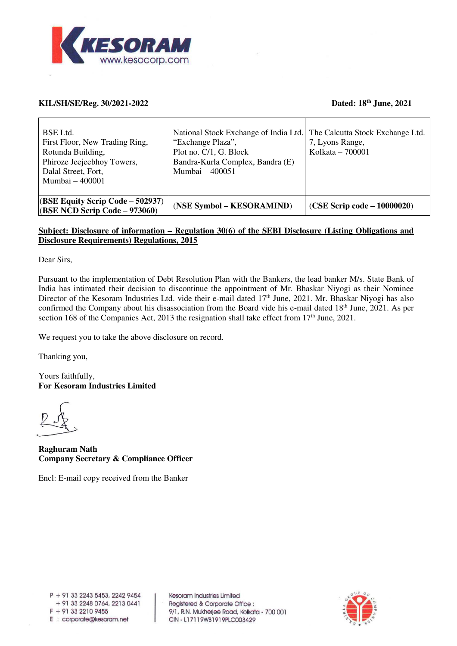

## **KIL/SH/SE/Reg. 30/2021-2022 Dated: 18th June, 2021**

| BSE Ltd.<br>First Floor, New Trading Ring,<br>Rotunda Building,<br>Phiroze Jeejeebhoy Towers,<br>Dalal Street, Fort,<br>Mumbai - 400001 | National Stock Exchange of India Ltd. The Calcutta Stock Exchange Ltd.<br>"Exchange Plaza",<br>Plot no. C/1, G. Block<br>Bandra-Kurla Complex, Bandra (E)<br>Mumbai - 400051 | 7, Lyons Range,<br>Kolkata – 700001 |
|-----------------------------------------------------------------------------------------------------------------------------------------|------------------------------------------------------------------------------------------------------------------------------------------------------------------------------|-------------------------------------|
| $(BSE$ Equity Scrip Code – 502937)<br>$(BSE NCD Script Code - 973060)$                                                                  | (NSE Symbol – KESORAMIND)                                                                                                                                                    | $(CSE$ Scrip code – 10000020)       |

## **Subject: Disclosure of information – Regulation 30(6) of the SEBI Disclosure (Listing Obligations and Disclosure Requirements) Regulations, 2015**

Dear Sirs,

Pursuant to the implementation of Debt Resolution Plan with the Bankers, the lead banker M/s. State Bank of India has intimated their decision to discontinue the appointment of Mr. Bhaskar Niyogi as their Nominee Director of the Kesoram Industries Ltd. vide their e-mail dated 17<sup>th</sup> June, 2021. Mr. Bhaskar Niyogi has also confirmed the Company about his disassociation from the Board vide his e-mail dated  $18<sup>th</sup>$  June,  $2021$ . As per section 168 of the Companies Act, 2013 the resignation shall take effect from  $17<sup>th</sup>$  June, 2021.

We request you to take the above disclosure on record.

Thanking you,

Yours faithfully, **For Kesoram Industries Limited** 

**Raghuram Nath Company Secretary & Compliance Officer** 

Encl: E-mail copy received from the Banker

Kesoram Industries Limited Registered & Corporate Office : 9/1, R.N. Mukherjee Road, Kolkata - 700 001 CIN - L17119WB1919PLC003429